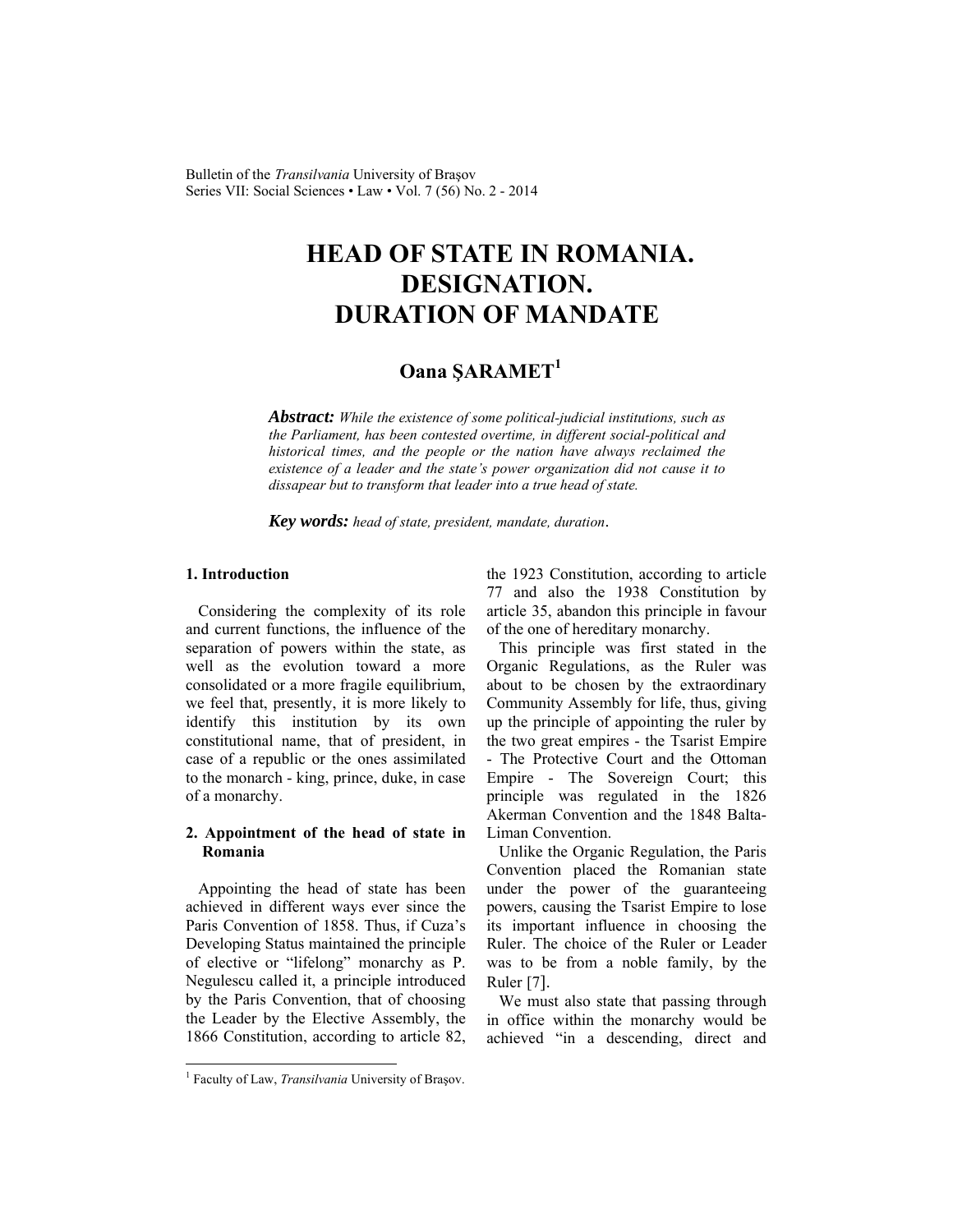Bulletin of the *Transilvania* University of Braşov Series VII: Social Sciences • Law • Vol. 7 (56) No. 2 - 2014

# **HEAD OF STATE IN ROMANIA. DESIGNATION. DURATION OF MANDATE**

# **Oana ŞARAMET1**

*Abstract: While the existence of some political-judicial institutions, such as the Parliament, has been contested overtime, in different social-political and historical times, and the people or the nation have always reclaimed the existence of a leader and the state's power organization did not cause it to dissapear but to transform that leader into a true head of state.* 

*Key words: head of state, president, mandate, duration*.

### **1. Introduction**

Considering the complexity of its role and current functions, the influence of the separation of powers within the state, as well as the evolution toward a more consolidated or a more fragile equilibrium, we feel that, presently, it is more likely to identify this institution by its own constitutional name, that of president, in case of a republic or the ones assimilated to the monarch - king, prince, duke, in case of a monarchy.

### **2. Appointment of the head of state in Romania**

Appointing the head of state has been achieved in different ways ever since the Paris Convention of 1858. Thus, if Cuza's Developing Status maintained the principle of elective or "lifelong" monarchy as P. Negulescu called it, a principle introduced by the Paris Convention, that of choosing the Leader by the Elective Assembly, the 1866 Constitution, according to article 82, the 1923 Constitution, according to article 77 and also the 1938 Constitution by article 35, abandon this principle in favour of the one of hereditary monarchy.

This principle was first stated in the Organic Regulations, as the Ruler was about to be chosen by the extraordinary Community Assembly for life, thus, giving up the principle of appointing the ruler by the two great empires - the Tsarist Empire - The Protective Court and the Ottoman Empire - The Sovereign Court; this principle was regulated in the 1826 Akerman Convention and the 1848 Balta-Liman Convention.

Unlike the Organic Regulation, the Paris Convention placed the Romanian state under the power of the guaranteeing powers, causing the Tsarist Empire to lose its important influence in choosing the Ruler. The choice of the Ruler or Leader was to be from a noble family, by the Ruler [7].

We must also state that passing through in office within the monarchy would be achieved "in a descending, direct and

 $\overline{a}$ 

<sup>&</sup>lt;sup>1</sup> Faculty of Law, *Transilvania* University of Brașov.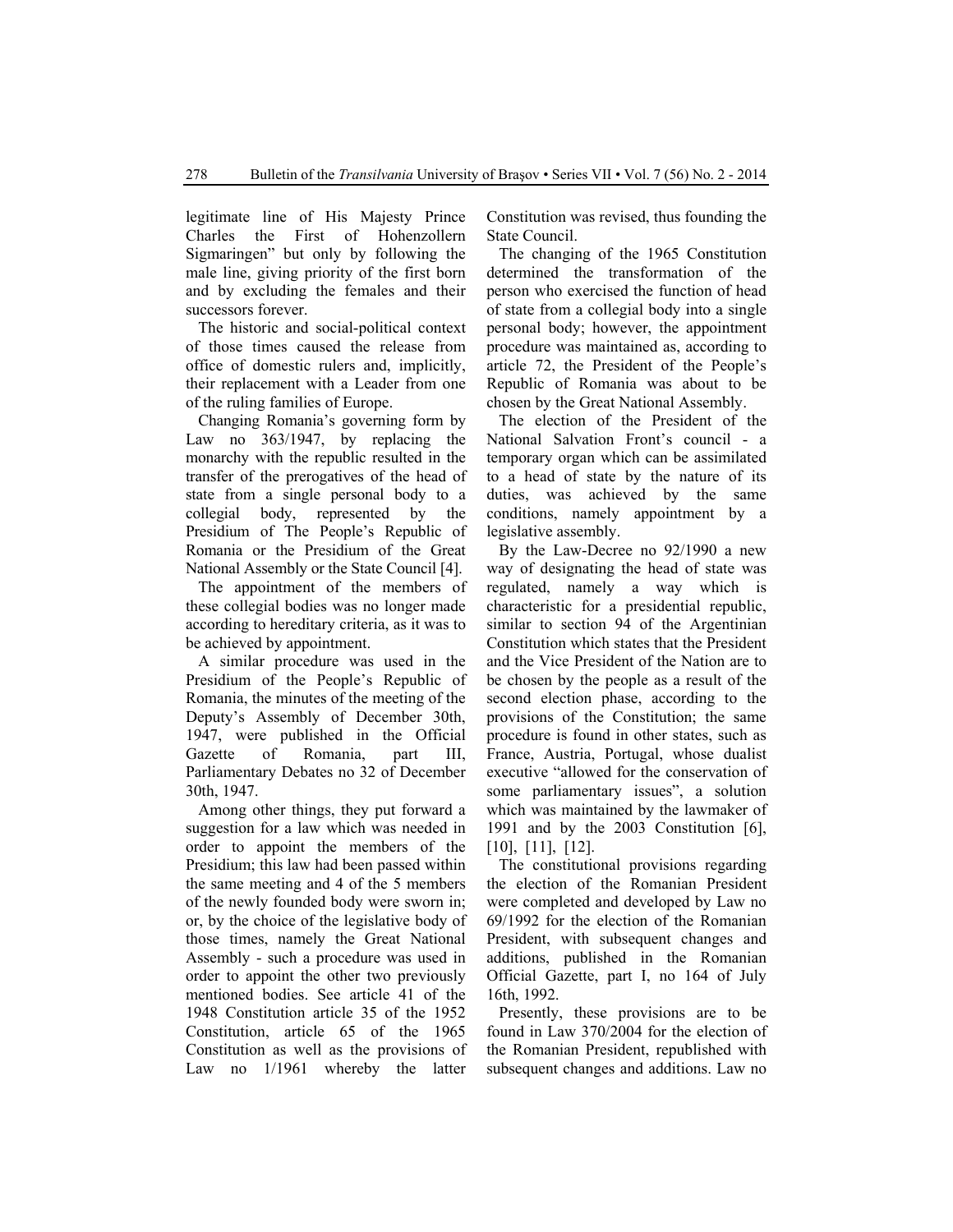legitimate line of His Majesty Prince Charles the First of Hohenzollern Sigmaringen" but only by following the male line, giving priority of the first born and by excluding the females and their successors forever.

The historic and social-political context of those times caused the release from office of domestic rulers and, implicitly, their replacement with a Leader from one of the ruling families of Europe.

Changing Romania's governing form by Law no 363/1947, by replacing the monarchy with the republic resulted in the transfer of the prerogatives of the head of state from a single personal body to a collegial body, represented by the Presidium of The People's Republic of Romania or the Presidium of the Great National Assembly or the State Council [4].

The appointment of the members of these collegial bodies was no longer made according to hereditary criteria, as it was to be achieved by appointment.

A similar procedure was used in the Presidium of the People's Republic of Romania, the minutes of the meeting of the Deputy's Assembly of December 30th, 1947, were published in the Official Gazette of Romania, part III, Parliamentary Debates no 32 of December 30th, 1947.

Among other things, they put forward a suggestion for a law which was needed in order to appoint the members of the Presidium; this law had been passed within the same meeting and 4 of the 5 members of the newly founded body were sworn in; or, by the choice of the legislative body of those times, namely the Great National Assembly - such a procedure was used in order to appoint the other two previously mentioned bodies. See article 41 of the 1948 Constitution article 35 of the 1952 Constitution, article 65 of the 1965 Constitution as well as the provisions of Law no 1/1961 whereby the latter Constitution was revised, thus founding the State Council.

The changing of the 1965 Constitution determined the transformation of the person who exercised the function of head of state from a collegial body into a single personal body; however, the appointment procedure was maintained as, according to article 72, the President of the People's Republic of Romania was about to be chosen by the Great National Assembly.

The election of the President of the National Salvation Front's council - a temporary organ which can be assimilated to a head of state by the nature of its duties, was achieved by the same conditions, namely appointment by a legislative assembly.

By the Law-Decree no 92/1990 a new way of designating the head of state was regulated, namely a way which is characteristic for a presidential republic, similar to section 94 of the Argentinian Constitution which states that the President and the Vice President of the Nation are to be chosen by the people as a result of the second election phase, according to the provisions of the Constitution; the same procedure is found in other states, such as France, Austria, Portugal, whose dualist executive "allowed for the conservation of some parliamentary issues", a solution which was maintained by the lawmaker of 1991 and by the 2003 Constitution [6], [10], [11], [12].

The constitutional provisions regarding the election of the Romanian President were completed and developed by Law no 69/1992 for the election of the Romanian President, with subsequent changes and additions, published in the Romanian Official Gazette, part I, no 164 of July 16th, 1992.

Presently, these provisions are to be found in Law 370/2004 for the election of the Romanian President, republished with subsequent changes and additions. Law no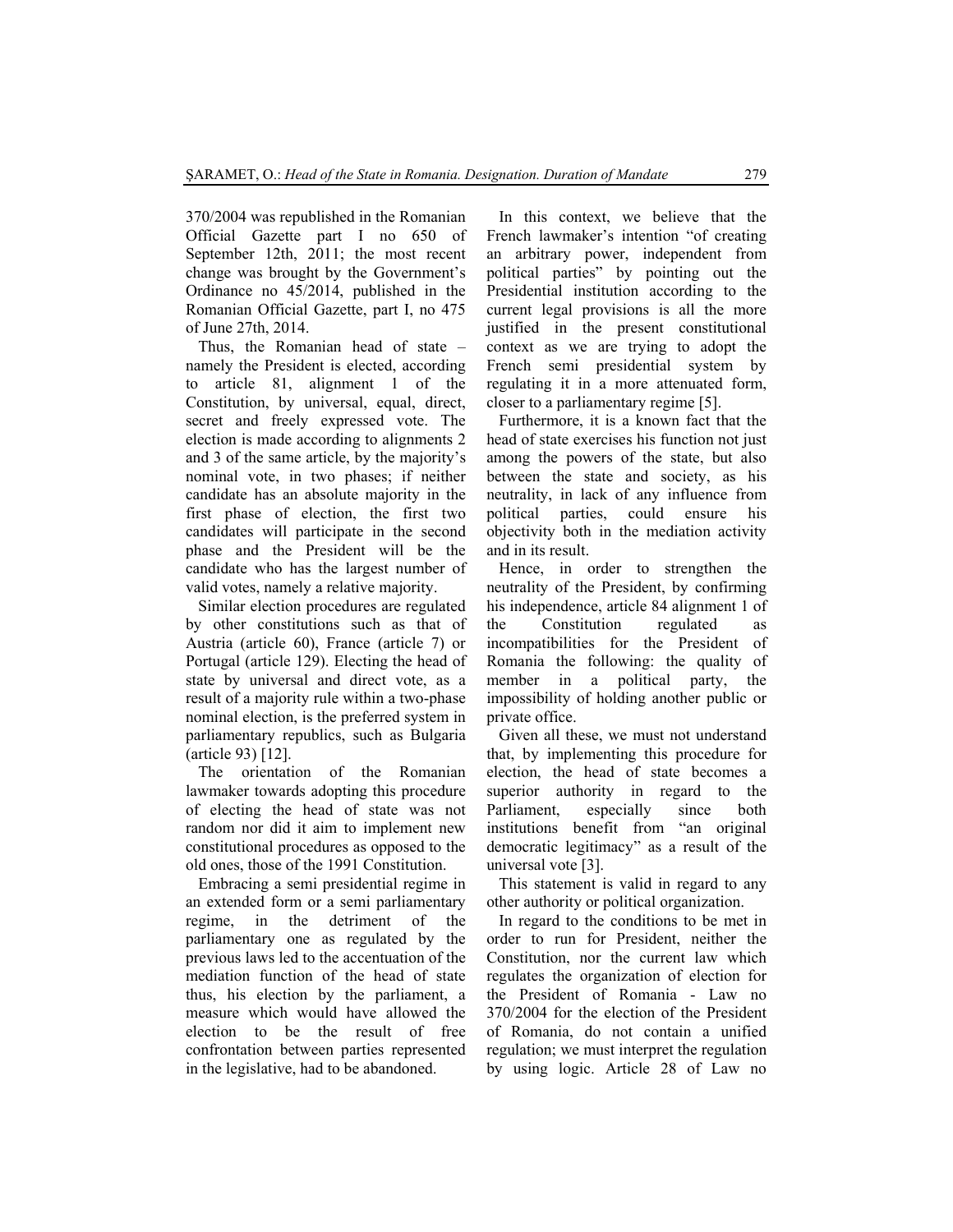370/2004 was republished in the Romanian Official Gazette part I no 650 of September 12th, 2011; the most recent change was brought by the Government's Ordinance no 45/2014, published in the Romanian Official Gazette, part I, no 475 of June 27th, 2014.

Thus, the Romanian head of state – namely the President is elected, according to article 81, alignment 1 of the Constitution, by universal, equal, direct, secret and freely expressed vote. The election is made according to alignments 2 and 3 of the same article, by the majority's nominal vote, in two phases; if neither candidate has an absolute majority in the first phase of election, the first two candidates will participate in the second phase and the President will be the candidate who has the largest number of valid votes, namely a relative majority.

Similar election procedures are regulated by other constitutions such as that of Austria (article 60), France (article 7) or Portugal (article 129). Electing the head of state by universal and direct vote, as a result of a majority rule within a two-phase nominal election, is the preferred system in parliamentary republics, such as Bulgaria (article 93) [12].

The orientation of the Romanian lawmaker towards adopting this procedure of electing the head of state was not random nor did it aim to implement new constitutional procedures as opposed to the old ones, those of the 1991 Constitution.

Embracing a semi presidential regime in an extended form or a semi parliamentary regime, in the detriment of the parliamentary one as regulated by the previous laws led to the accentuation of the mediation function of the head of state thus, his election by the parliament, a measure which would have allowed the election to be the result of free confrontation between parties represented in the legislative, had to be abandoned.

In this context, we believe that the French lawmaker's intention "of creating an arbitrary power, independent from political parties" by pointing out the Presidential institution according to the current legal provisions is all the more justified in the present constitutional context as we are trying to adopt the French semi presidential system by regulating it in a more attenuated form, closer to a parliamentary regime [5].

Furthermore, it is a known fact that the head of state exercises his function not just among the powers of the state, but also between the state and society, as his neutrality, in lack of any influence from political parties, could ensure his objectivity both in the mediation activity and in its result.

Hence, in order to strengthen the neutrality of the President, by confirming his independence, article 84 alignment 1 of the Constitution regulated as incompatibilities for the President of Romania the following: the quality of member in a political party, the impossibility of holding another public or private office.

Given all these, we must not understand that, by implementing this procedure for election, the head of state becomes a superior authority in regard to the Parliament, especially since both institutions benefit from "an original democratic legitimacy" as a result of the universal vote [3].

This statement is valid in regard to any other authority or political organization.

In regard to the conditions to be met in order to run for President, neither the Constitution, nor the current law which regulates the organization of election for the President of Romania - Law no 370/2004 for the election of the President of Romania, do not contain a unified regulation; we must interpret the regulation by using logic. Article 28 of Law no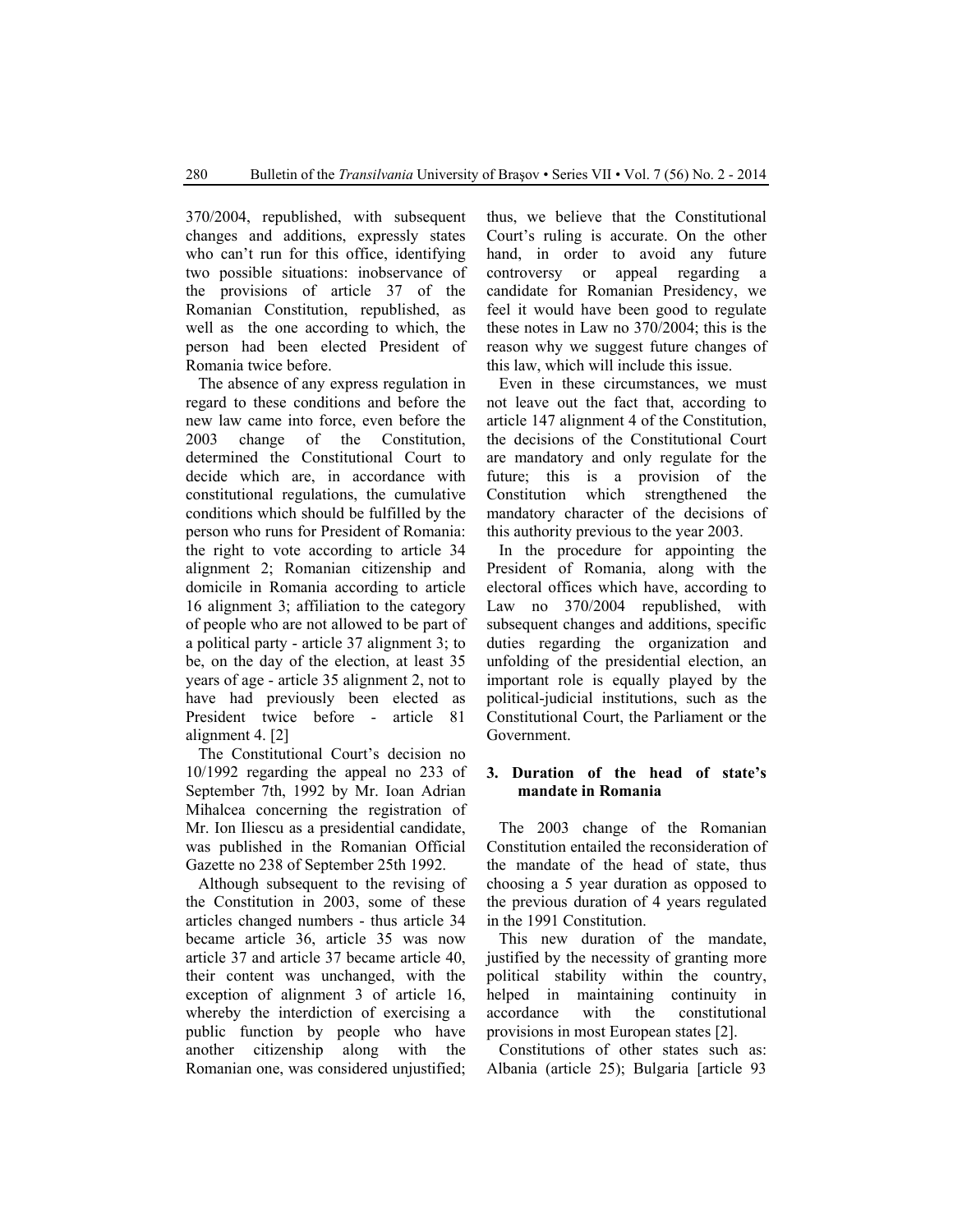370/2004, republished, with subsequent changes and additions, expressly states who can't run for this office, identifying two possible situations: inobservance of the provisions of article 37 of the Romanian Constitution, republished, as well as the one according to which, the person had been elected President of Romania twice before.

The absence of any express regulation in regard to these conditions and before the new law came into force, even before the 2003 change of the Constitution, determined the Constitutional Court to decide which are, in accordance with constitutional regulations, the cumulative conditions which should be fulfilled by the person who runs for President of Romania: the right to vote according to article 34 alignment 2; Romanian citizenship and domicile in Romania according to article 16 alignment 3; affiliation to the category of people who are not allowed to be part of a political party - article 37 alignment 3; to be, on the day of the election, at least 35 years of age - article 35 alignment 2, not to have had previously been elected as President twice before - article 81 alignment 4. [2]

The Constitutional Court's decision no 10/1992 regarding the appeal no 233 of September 7th, 1992 by Mr. Ioan Adrian Mihalcea concerning the registration of Mr. Ion Iliescu as a presidential candidate, was published in the Romanian Official Gazette no 238 of September 25th 1992.

Although subsequent to the revising of the Constitution in 2003, some of these articles changed numbers - thus article 34 became article 36, article 35 was now article 37 and article 37 became article 40, their content was unchanged, with the exception of alignment 3 of article 16, whereby the interdiction of exercising a public function by people who have another citizenship along with the Romanian one, was considered unjustified; thus, we believe that the Constitutional Court's ruling is accurate. On the other hand, in order to avoid any future controversy or appeal regarding a candidate for Romanian Presidency, we feel it would have been good to regulate these notes in Law no 370/2004; this is the reason why we suggest future changes of this law, which will include this issue.

Even in these circumstances, we must not leave out the fact that, according to article 147 alignment 4 of the Constitution, the decisions of the Constitutional Court are mandatory and only regulate for the future; this is a provision of the Constitution which strengthened the mandatory character of the decisions of this authority previous to the year 2003.

In the procedure for appointing the President of Romania, along with the electoral offices which have, according to Law no 370/2004 republished, with subsequent changes and additions, specific duties regarding the organization and unfolding of the presidential election, an important role is equally played by the political-judicial institutions, such as the Constitutional Court, the Parliament or the Government.

## **3. Duration of the head of state's mandate in Romania**

The 2003 change of the Romanian Constitution entailed the reconsideration of the mandate of the head of state, thus choosing a 5 year duration as opposed to the previous duration of 4 years regulated in the 1991 Constitution.

This new duration of the mandate, justified by the necessity of granting more political stability within the country, helped in maintaining continuity in accordance with the constitutional provisions in most European states [2].

Constitutions of other states such as: Albania (article 25); Bulgaria [article 93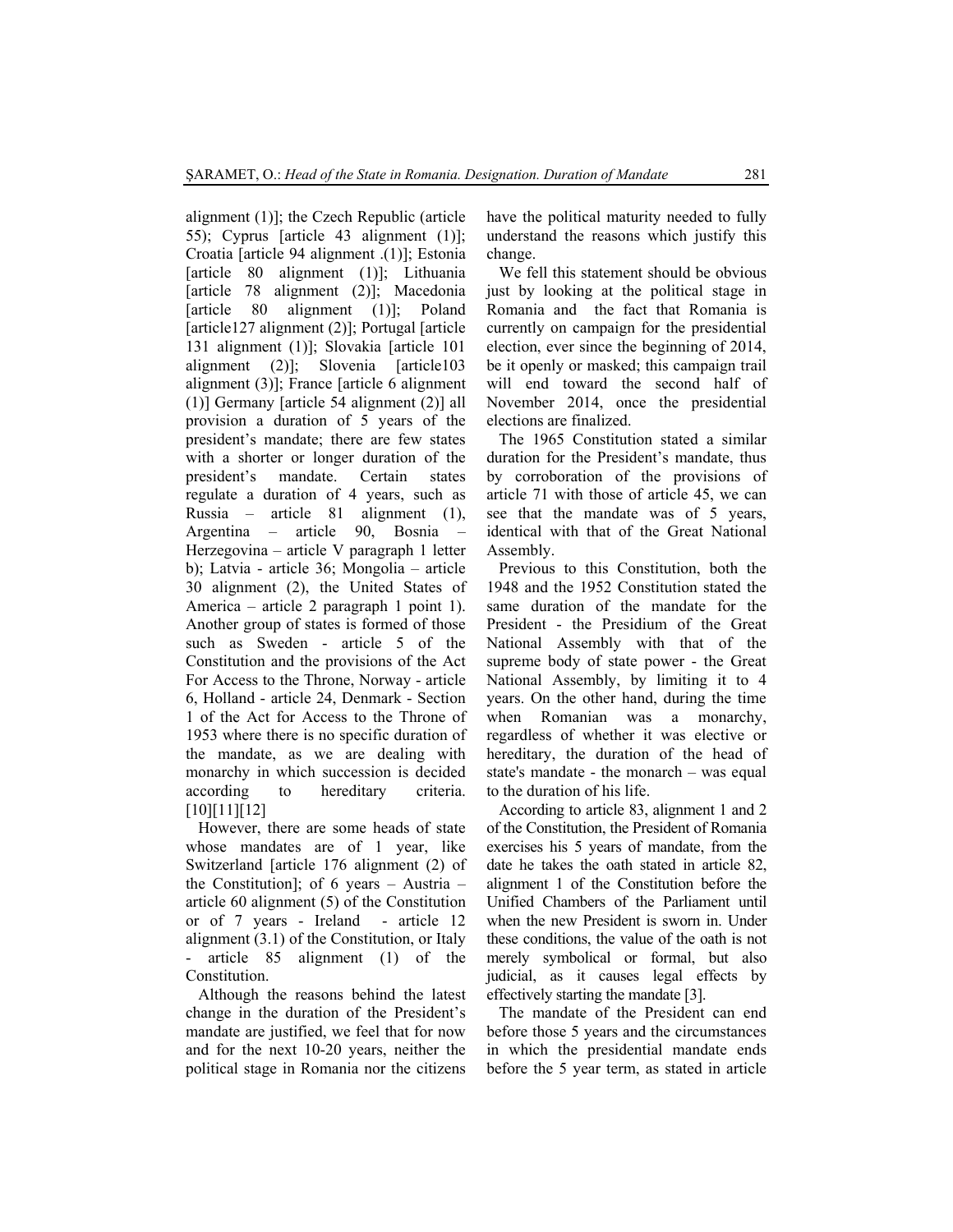alignment (1)]; the Czech Republic (article 55); Cyprus [article 43 alignment (1)]; Croatia [article 94 alignment .(1)]; Estonia [article 80 alignment (1)]; Lithuania [article 78 alignment (2)]; Macedonia [article 80 alignment (1)]; Poland [article127 alignment (2)]; Portugal [article 131 alignment (1)]; Slovakia [article 101 alignment (2)]; Slovenia [article103 alignment (3)]; France [article 6 alignment (1)] Germany [article 54 alignment (2)] all provision a duration of 5 years of the president's mandate; there are few states with a shorter or longer duration of the president's mandate. Certain states regulate a duration of 4 years, such as Russia – article 81 alignment (1), Argentina – article 90, Bosnia – Herzegovina – article V paragraph 1 letter b); Latvia - article 36; Mongolia – article 30 alignment (2), the United States of America – article 2 paragraph 1 point 1). Another group of states is formed of those such as Sweden - article 5 of the Constitution and the provisions of the Act For Access to the Throne, Norway - article 6, Holland - article 24, Denmark - Section 1 of the Act for Access to the Throne of 1953 where there is no specific duration of the mandate, as we are dealing with monarchy in which succession is decided according to hereditary criteria. [10][11][12]

However, there are some heads of state whose mandates are of 1 year, like Switzerland [article 176 alignment (2) of the Constitution]; of 6 years – Austria – article 60 alignment (5) of the Constitution or of 7 years - Ireland - article 12 alignment (3.1) of the Constitution, or Italy article 85 alignment (1) of the Constitution.

Although the reasons behind the latest change in the duration of the President's mandate are justified, we feel that for now and for the next 10-20 years, neither the political stage in Romania nor the citizens have the political maturity needed to fully understand the reasons which justify this change.

We fell this statement should be obvious just by looking at the political stage in Romania and the fact that Romania is currently on campaign for the presidential election, ever since the beginning of 2014, be it openly or masked; this campaign trail will end toward the second half of November 2014, once the presidential elections are finalized.

The 1965 Constitution stated a similar duration for the President's mandate, thus by corroboration of the provisions of article 71 with those of article 45, we can see that the mandate was of 5 years, identical with that of the Great National Assembly.

Previous to this Constitution, both the 1948 and the 1952 Constitution stated the same duration of the mandate for the President - the Presidium of the Great National Assembly with that of the supreme body of state power - the Great National Assembly, by limiting it to 4 years. On the other hand, during the time when Romanian was a monarchy, regardless of whether it was elective or hereditary, the duration of the head of state's mandate - the monarch – was equal to the duration of his life.

According to article 83, alignment 1 and 2 of the Constitution, the President of Romania exercises his 5 years of mandate, from the date he takes the oath stated in article 82, alignment 1 of the Constitution before the Unified Chambers of the Parliament until when the new President is sworn in. Under these conditions, the value of the oath is not merely symbolical or formal, but also judicial, as it causes legal effects by effectively starting the mandate [3].

The mandate of the President can end before those 5 years and the circumstances in which the presidential mandate ends before the 5 year term, as stated in article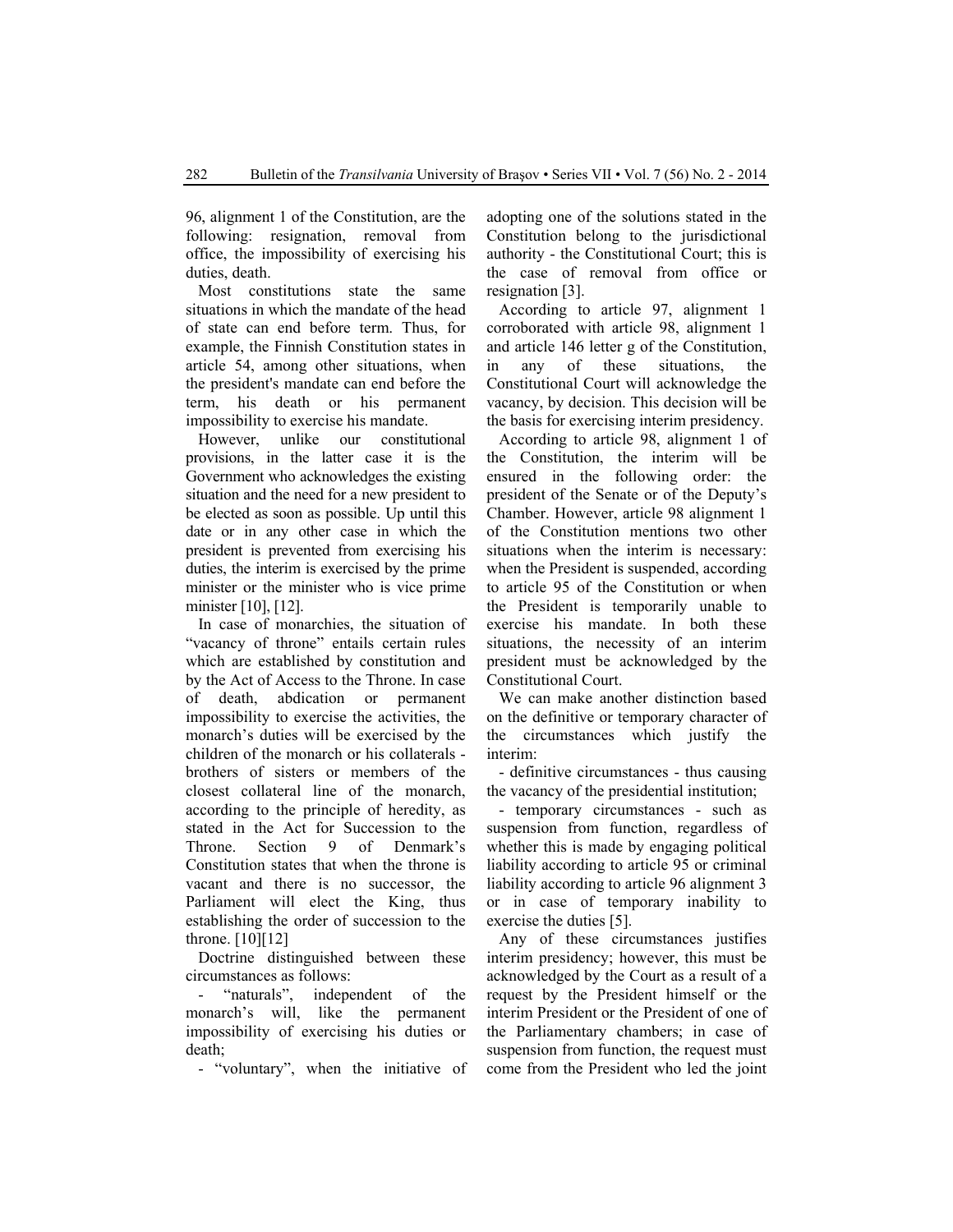96, alignment 1 of the Constitution, are the following: resignation, removal from office, the impossibility of exercising his duties, death.

Most constitutions state the same situations in which the mandate of the head of state can end before term. Thus, for example, the Finnish Constitution states in article 54, among other situations, when the president's mandate can end before the term, his death or his permanent impossibility to exercise his mandate.

However, unlike our constitutional provisions, in the latter case it is the Government who acknowledges the existing situation and the need for a new president to be elected as soon as possible. Up until this date or in any other case in which the president is prevented from exercising his duties, the interim is exercised by the prime minister or the minister who is vice prime minister [10], [12].

In case of monarchies, the situation of "vacancy of throne" entails certain rules which are established by constitution and by the Act of Access to the Throne. In case of death, abdication or permanent impossibility to exercise the activities, the monarch's duties will be exercised by the children of the monarch or his collaterals brothers of sisters or members of the closest collateral line of the monarch, according to the principle of heredity, as stated in the Act for Succession to the Throne. Section 9 of Denmark's Constitution states that when the throne is vacant and there is no successor, the Parliament will elect the King, thus establishing the order of succession to the throne. [10][12]

Doctrine distinguished between these circumstances as follows:

"naturals", independent of the monarch's will, like the permanent impossibility of exercising his duties or death;

- "voluntary", when the initiative of

adopting one of the solutions stated in the Constitution belong to the jurisdictional authority - the Constitutional Court; this is the case of removal from office or resignation [3].

According to article 97, alignment 1 corroborated with article 98, alignment 1 and article 146 letter g of the Constitution, in any of these situations, the Constitutional Court will acknowledge the vacancy, by decision. This decision will be the basis for exercising interim presidency.

According to article 98, alignment 1 of the Constitution, the interim will be ensured in the following order: the president of the Senate or of the Deputy's Chamber. However, article 98 alignment 1 of the Constitution mentions two other situations when the interim is necessary: when the President is suspended, according to article 95 of the Constitution or when the President is temporarily unable to exercise his mandate. In both these situations, the necessity of an interim president must be acknowledged by the Constitutional Court.

We can make another distinction based on the definitive or temporary character of the circumstances which justify the interim:

- definitive circumstances - thus causing the vacancy of the presidential institution;

- temporary circumstances - such as suspension from function, regardless of whether this is made by engaging political liability according to article 95 or criminal liability according to article 96 alignment 3 or in case of temporary inability to exercise the duties [5].

Any of these circumstances justifies interim presidency; however, this must be acknowledged by the Court as a result of a request by the President himself or the interim President or the President of one of the Parliamentary chambers; in case of suspension from function, the request must come from the President who led the joint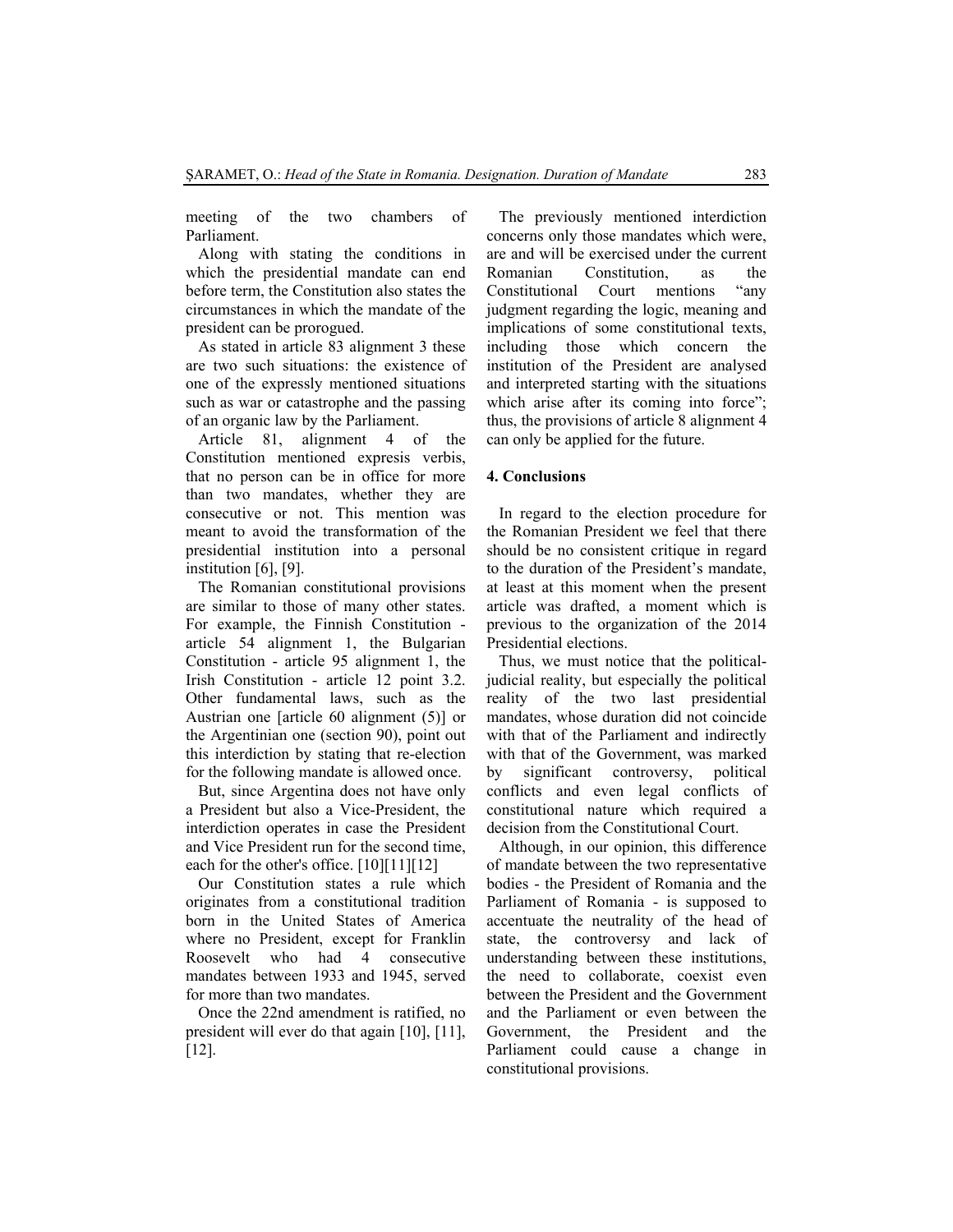meeting of the two chambers of Parliament.

Along with stating the conditions in which the presidential mandate can end before term, the Constitution also states the circumstances in which the mandate of the president can be prorogued.

As stated in article 83 alignment 3 these are two such situations: the existence of one of the expressly mentioned situations such as war or catastrophe and the passing of an organic law by the Parliament.

Article 81, alignment 4 of the Constitution mentioned expresis verbis, that no person can be in office for more than two mandates, whether they are consecutive or not. This mention was meant to avoid the transformation of the presidential institution into a personal institution [6], [9].

The Romanian constitutional provisions are similar to those of many other states. For example, the Finnish Constitution article 54 alignment 1, the Bulgarian Constitution - article 95 alignment 1, the Irish Constitution - article 12 point 3.2. Other fundamental laws, such as the Austrian one [article 60 alignment (5)] or the Argentinian one (section 90), point out this interdiction by stating that re-election for the following mandate is allowed once.

But, since Argentina does not have only a President but also a Vice-President, the interdiction operates in case the President and Vice President run for the second time, each for the other's office.  $[10][11][12]$ 

Our Constitution states a rule which originates from a constitutional tradition born in the United States of America where no President, except for Franklin Roosevelt who had 4 consecutive mandates between 1933 and 1945, served for more than two mandates.

Once the 22nd amendment is ratified, no president will ever do that again [10], [11], [12].

The previously mentioned interdiction concerns only those mandates which were, are and will be exercised under the current Romanian Constitution as the Constitutional Court mentions "any judgment regarding the logic, meaning and implications of some constitutional texts, including those which concern the institution of the President are analysed and interpreted starting with the situations which arise after its coming into force"; thus, the provisions of article 8 alignment 4 can only be applied for the future.

#### **4. Conclusions**

In regard to the election procedure for the Romanian President we feel that there should be no consistent critique in regard to the duration of the President's mandate, at least at this moment when the present article was drafted, a moment which is previous to the organization of the 2014 Presidential elections.

Thus, we must notice that the politicaljudicial reality, but especially the political reality of the two last presidential mandates, whose duration did not coincide with that of the Parliament and indirectly with that of the Government, was marked by significant controversy, political conflicts and even legal conflicts of constitutional nature which required a decision from the Constitutional Court.

Although, in our opinion, this difference of mandate between the two representative bodies - the President of Romania and the Parliament of Romania - is supposed to accentuate the neutrality of the head of state, the controversy and lack of understanding between these institutions, the need to collaborate, coexist even between the President and the Government and the Parliament or even between the Government, the President and the Parliament could cause a change in constitutional provisions.